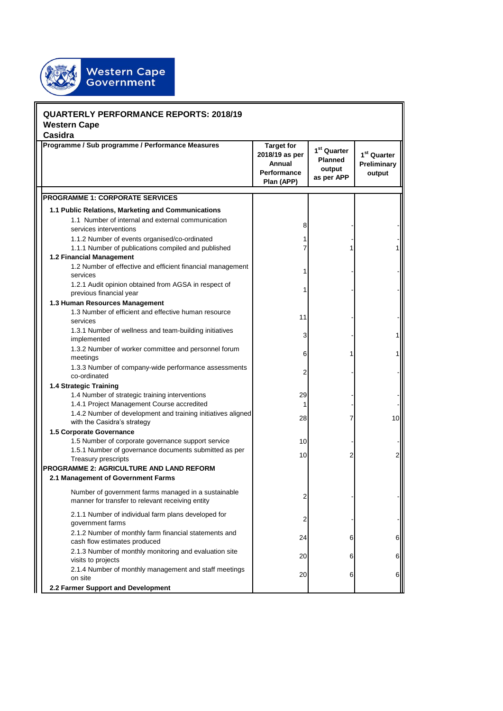

| <b>QUARTERLY PERFORMANCE REPORTS: 2018/19</b><br><b>Western Cape</b>                  |                                                                                                         |                                                                                   |                                                                   |                                        |  |  |
|---------------------------------------------------------------------------------------|---------------------------------------------------------------------------------------------------------|-----------------------------------------------------------------------------------|-------------------------------------------------------------------|----------------------------------------|--|--|
| Casidra                                                                               |                                                                                                         |                                                                                   |                                                                   |                                        |  |  |
|                                                                                       | Programme / Sub programme / Performance Measures                                                        | <b>Target for</b><br>2018/19 as per<br>Annual<br><b>Performance</b><br>Plan (APP) | 1 <sup>st</sup> Quarter<br><b>Planned</b><br>output<br>as per APP | $1st$ Quarter<br>Preliminary<br>output |  |  |
|                                                                                       | <b>PROGRAMME 1: CORPORATE SERVICES</b>                                                                  |                                                                                   |                                                                   |                                        |  |  |
|                                                                                       |                                                                                                         |                                                                                   |                                                                   |                                        |  |  |
|                                                                                       | 1.1 Public Relations, Marketing and Communications                                                      |                                                                                   |                                                                   |                                        |  |  |
|                                                                                       | 1.1 Number of internal and external communication<br>services interventions                             | 8                                                                                 |                                                                   |                                        |  |  |
|                                                                                       | 1.1.2 Number of events organised/co-ordinated                                                           |                                                                                   |                                                                   |                                        |  |  |
|                                                                                       | 1.1.1 Number of publications compiled and published                                                     |                                                                                   |                                                                   |                                        |  |  |
|                                                                                       | 1.2 Financial Management                                                                                |                                                                                   |                                                                   |                                        |  |  |
| services                                                                              | 1.2 Number of effective and efficient financial management                                              |                                                                                   |                                                                   |                                        |  |  |
|                                                                                       | 1.2.1 Audit opinion obtained from AGSA in respect of<br>previous financial year                         |                                                                                   |                                                                   |                                        |  |  |
| 1.3 Human Resources Management                                                        |                                                                                                         |                                                                                   |                                                                   |                                        |  |  |
| services                                                                              | 1.3 Number of efficient and effective human resource                                                    | 11                                                                                |                                                                   |                                        |  |  |
|                                                                                       | 1.3.1 Number of wellness and team-building initiatives<br>implemented                                   | 3                                                                                 |                                                                   |                                        |  |  |
|                                                                                       | 1.3.2 Number of worker committee and personnel forum<br>meetings                                        | 6                                                                                 |                                                                   |                                        |  |  |
|                                                                                       | 1.3.3 Number of company-wide performance assessments<br>co-ordinated                                    | 2                                                                                 |                                                                   |                                        |  |  |
| 1.4 Strategic Training                                                                |                                                                                                         |                                                                                   |                                                                   |                                        |  |  |
|                                                                                       | 1.4 Number of strategic training interventions                                                          | 29                                                                                |                                                                   |                                        |  |  |
|                                                                                       | 1.4.1 Project Management Course accredited                                                              | 1                                                                                 |                                                                   |                                        |  |  |
|                                                                                       | 1.4.2 Number of development and training initiatives aligned<br>with the Casidra's strategy             | 28                                                                                |                                                                   | 10                                     |  |  |
|                                                                                       | 1.5 Corporate Governance                                                                                |                                                                                   |                                                                   |                                        |  |  |
|                                                                                       | 1.5 Number of corporate governance support service                                                      | 10                                                                                |                                                                   |                                        |  |  |
|                                                                                       | 1.5.1 Number of governance documents submitted as per<br>Treasury prescripts                            | 10                                                                                | 2                                                                 |                                        |  |  |
| <b>PROGRAMME 2: AGRICULTURE AND LAND REFORM</b><br>2.1 Management of Government Farms |                                                                                                         |                                                                                   |                                                                   |                                        |  |  |
|                                                                                       |                                                                                                         |                                                                                   |                                                                   |                                        |  |  |
|                                                                                       | Number of government farms managed in a sustainable<br>manner for transfer to relevant receiving entity | 2                                                                                 |                                                                   |                                        |  |  |
|                                                                                       | 2.1.1 Number of individual farm plans developed for<br>government farms                                 | 2                                                                                 |                                                                   |                                        |  |  |
|                                                                                       | 2.1.2 Number of monthly farm financial statements and<br>cash flow estimates produced                   | 24                                                                                | 6                                                                 | 6                                      |  |  |
|                                                                                       | 2.1.3 Number of monthly monitoring and evaluation site<br>visits to projects                            | 20                                                                                | 6                                                                 | 6                                      |  |  |
| on site                                                                               | 2.1.4 Number of monthly management and staff meetings                                                   | 20                                                                                | 6                                                                 | 6                                      |  |  |
| 2.2 Farmer Support and Development                                                    |                                                                                                         |                                                                                   |                                                                   |                                        |  |  |
|                                                                                       |                                                                                                         |                                                                                   |                                                                   |                                        |  |  |

 $\overline{\mathbf{a}}$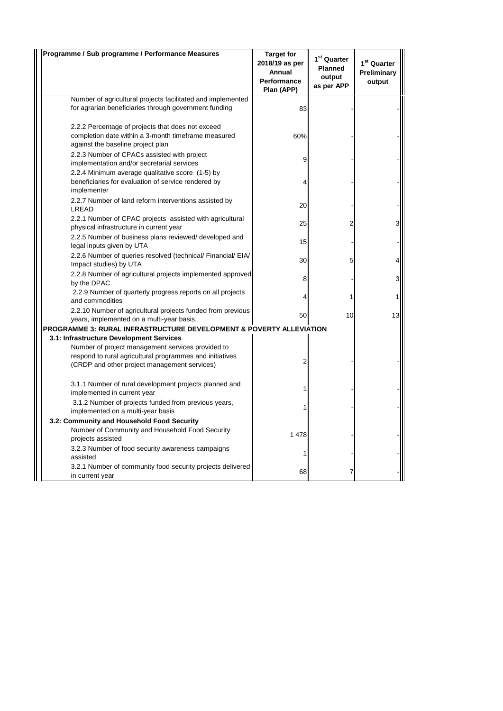| Programme / Sub programme / Performance Measures                                                                                                              | <b>Target for</b><br>2018/19 as per<br>Annual<br><b>Performance</b><br>Plan (APP) | 1 <sup>st</sup> Quarter<br><b>Planned</b><br>output<br>as per APP | 1 <sup>st</sup> Quarter<br>Preliminary<br>output |
|---------------------------------------------------------------------------------------------------------------------------------------------------------------|-----------------------------------------------------------------------------------|-------------------------------------------------------------------|--------------------------------------------------|
| Number of agricultural projects facilitated and implemented                                                                                                   |                                                                                   |                                                                   |                                                  |
| for agrarian beneficiaries through government funding                                                                                                         | 83                                                                                |                                                                   |                                                  |
| 2.2.2 Percentage of projects that does not exceed<br>completion date within a 3-month timeframe measured<br>against the baseline project plan                 | 60%                                                                               |                                                                   |                                                  |
| 2.2.3 Number of CPACs assisted with project<br>implementation and/or secretarial services                                                                     | 9                                                                                 |                                                                   |                                                  |
| 2.2.4 Minimum average qualitative score (1-5) by<br>beneficiaries for evaluation of service rendered by<br>implementer                                        |                                                                                   |                                                                   |                                                  |
| 2.2.7 Number of land reform interventions assisted by<br>LREAD                                                                                                | 20                                                                                |                                                                   |                                                  |
| 2.2.1 Number of CPAC projects assisted with agricultural<br>physical infrastructure in current year                                                           | 25                                                                                |                                                                   |                                                  |
| 2.2.5 Number of business plans reviewed/ developed and<br>legal inputs given by UTA                                                                           | 15                                                                                |                                                                   |                                                  |
| 2.2.6 Number of queries resolved (technical/ Financial/ EIA/<br>Impact studies) by UTA                                                                        | 30                                                                                | 5                                                                 |                                                  |
| 2.2.8 Number of agricultural projects implemented approved<br>by the DPAC                                                                                     | 8                                                                                 |                                                                   |                                                  |
| 2.2.9 Number of quarterly progress reports on all projects<br>and commodities                                                                                 |                                                                                   |                                                                   |                                                  |
| 2.2.10 Number of agricultural projects funded from previous<br>years, implemented on a multi-year basis.                                                      | 50                                                                                | 10 <sup>1</sup>                                                   | 13                                               |
| PROGRAMME 3: RURAL INFRASTRUCTURE DEVELOPMENT & POVERTY ALLEVIATION                                                                                           |                                                                                   |                                                                   |                                                  |
| 3.1: Infrastructure Development Services                                                                                                                      |                                                                                   |                                                                   |                                                  |
| Number of project management services provided to<br>respond to rural agricultural programmes and initiatives<br>(CRDP and other project management services) |                                                                                   |                                                                   |                                                  |
| 3.1.1 Number of rural development projects planned and<br>implemented in current year                                                                         |                                                                                   |                                                                   |                                                  |
| 3.1.2 Number of projects funded from previous years,<br>implemented on a multi-year basis                                                                     |                                                                                   |                                                                   |                                                  |
| 3.2: Community and Household Food Security                                                                                                                    |                                                                                   |                                                                   |                                                  |
| Number of Community and Household Food Security<br>projects assisted                                                                                          | 1 478                                                                             |                                                                   |                                                  |
| 3.2.3 Number of food security awareness campaigns<br>assisted                                                                                                 |                                                                                   |                                                                   |                                                  |
| 3.2.1 Number of community food security projects delivered<br>in current year                                                                                 | 68                                                                                |                                                                   |                                                  |